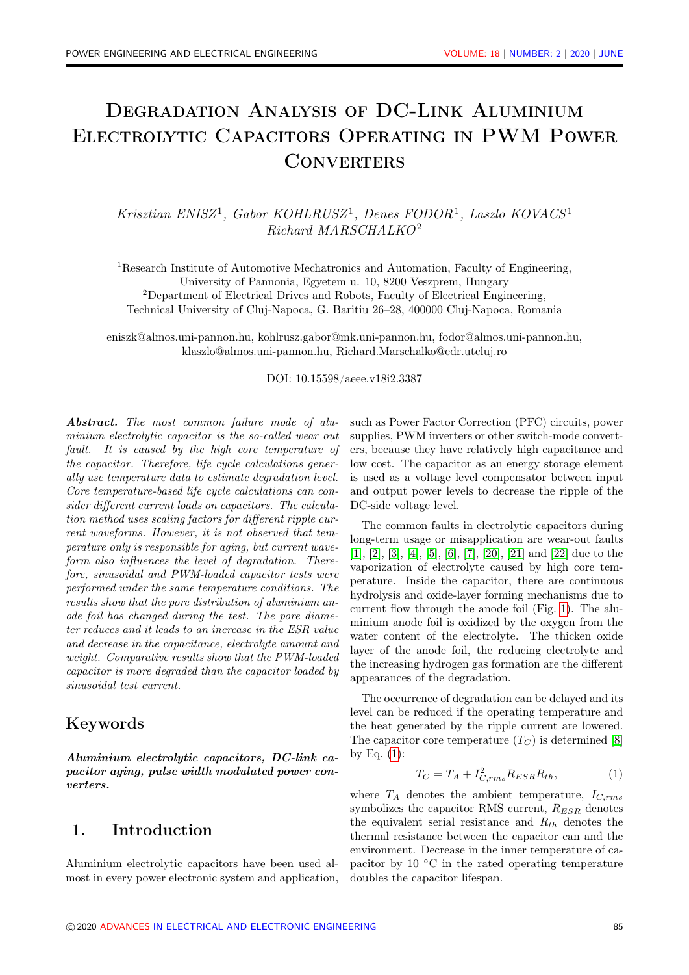# Degradation Analysis of DC-Link Aluminium Electrolytic Capacitors Operating in PWM Power **CONVERTERS**

Krisztian ENISZ<sup>1</sup>, Gabor KOHLRUSZ<sup>1</sup>, Denes FODOR<sup>1</sup>, Laszlo KOVACS<sup>1</sup> Richard MARSCHALKO<sup>2</sup>

<sup>1</sup>Research Institute of Automotive Mechatronics and Automation, Faculty of Engineering, University of Pannonia, Egyetem u. 10, 8200 Veszprem, Hungary <sup>2</sup>Department of Electrical Drives and Robots, Faculty of Electrical Engineering, Technical University of Cluj-Napoca, G. Baritiu 26–28, 400000 Cluj-Napoca, Romania

eniszk@almos.uni-pannon.hu, kohlrusz.gabor@mk.uni-pannon.hu, fodor@almos.uni-pannon.hu, klaszlo@almos.uni-pannon.hu, Richard.Marschalko@edr.utcluj.ro

#### DOI: 10.15598/aeee.v18i2.3387

Abstract. The most common failure mode of aluminium electrolytic capacitor is the so-called wear out fault. It is caused by the high core temperature of the capacitor. Therefore, life cycle calculations generally use temperature data to estimate degradation level. Core temperature-based life cycle calculations can consider different current loads on capacitors. The calculation method uses scaling factors for different ripple current waveforms. However, it is not observed that temperature only is responsible for aging, but current waveform also influences the level of degradation. Therefore, sinusoidal and PWM-loaded capacitor tests were performed under the same temperature conditions. The results show that the pore distribution of aluminium anode foil has changed during the test. The pore diameter reduces and it leads to an increase in the ESR value and decrease in the capacitance, electrolyte amount and weight. Comparative results show that the PWM-loaded capacitor is more degraded than the capacitor loaded by sinusoidal test current.

### Keywords

Aluminium electrolytic capacitors, DC-link capacitor aging, pulse width modulated power converters.

### 1. Introduction

Aluminium electrolytic capacitors have been used almost in every power electronic system and application, such as Power Factor Correction (PFC) circuits, power supplies, PWM inverters or other switch-mode converters, because they have relatively high capacitance and low cost. The capacitor as an energy storage element is used as a voltage level compensator between input and output power levels to decrease the ripple of the DC-side voltage level.

The common faults in electrolytic capacitors during long-term usage or misapplication are wear-out faults [\[1\]](#page-4-0), [\[2\]](#page-5-0), [\[3\]](#page-5-1), [\[4\]](#page-5-2), [\[5\]](#page-5-3), [\[6\]](#page-5-4), [\[7\]](#page-5-5), [\[20\]](#page-6-0), [\[21\]](#page-6-1) and [\[22\]](#page-6-2) due to the vaporization of electrolyte caused by high core temperature. Inside the capacitor, there are continuous hydrolysis and oxide-layer forming mechanisms due to current flow through the anode foil (Fig. [1\)](#page-1-0). The aluminium anode foil is oxidized by the oxygen from the water content of the electrolyte. The thicken oxide layer of the anode foil, the reducing electrolyte and the increasing hydrogen gas formation are the different appearances of the degradation.

The occurrence of degradation can be delayed and its level can be reduced if the operating temperature and the heat generated by the ripple current are lowered. The capacitor core temperature  $(T_C)$  is determined [\[8\]](#page-5-6) by Eq.  $(1)$ :

<span id="page-0-0"></span>
$$
T_C = T_A + I_{C,rms}^2 R_{ESR} R_{th},\tag{1}
$$

where  $T_A$  denotes the ambient temperature,  $I_{C,rms}$ symbolizes the capacitor RMS current,  $R_{ESR}$  denotes the equivalent serial resistance and  $R_{th}$  denotes the thermal resistance between the capacitor can and the environment. Decrease in the inner temperature of capacitor by 10 ◦C in the rated operating temperature doubles the capacitor lifespan.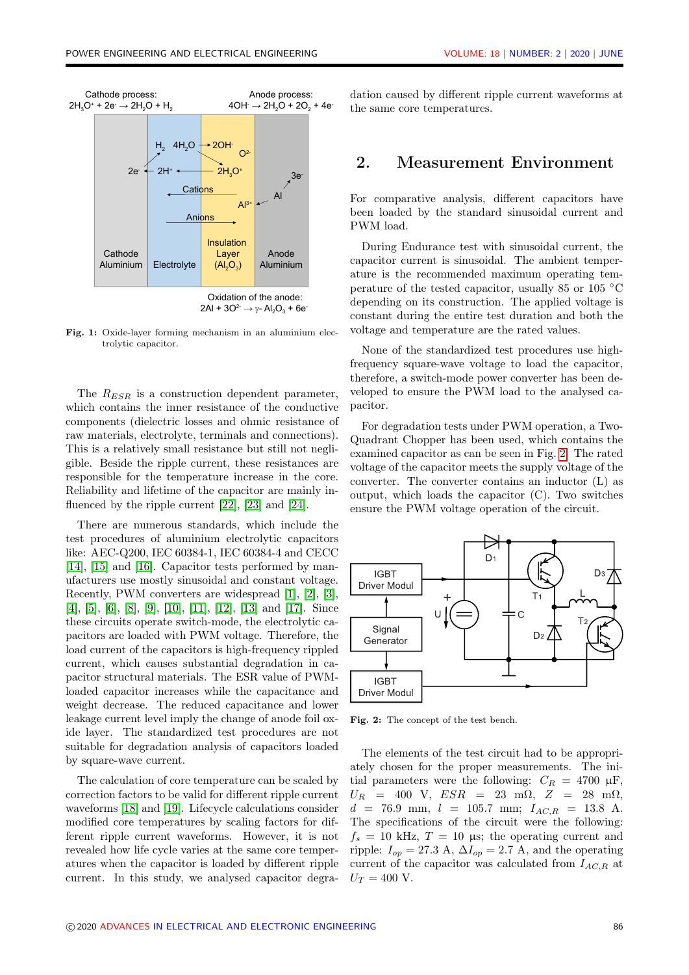<span id="page-1-0"></span>

Fig. 1: Oxide-layer forming mechanism in an aluminium electrolytic capacitor.

The  $R_{ESR}$  is a construction dependent parameter, which contains the inner resistance of the conductive components (dielectric losses and ohmic resistance of raw materials, electrolyte, terminals and connections). This is a relatively small resistance but still not negligible. Beside the ripple current, these resistances are responsible for the temperature increase in the core. Reliability and lifetime of the capacitor are mainly influenced by the ripple current [\[22\]](#page-6-2), [\[23\]](#page-6-3) and [\[24\]](#page-6-4).

There are numerous standards, which include the test procedures of aluminium electrolytic capacitors like: AEC-Q200, IEC 60384-1, IEC 60384-4 and CECC [\[14\]](#page-5-7), [\[15\]](#page-5-8) and [\[16\]](#page-5-9). Capacitor tests performed by manufacturers use mostly sinusoidal and constant voltage. Recently, PWM converters are widespread [\[1\]](#page-4-0), [\[2\]](#page-5-0), [\[3\]](#page-5-1), [\[4\]](#page-5-2), [\[5\]](#page-5-3), [\[6\]](#page-5-4), [\[8\]](#page-5-6), [\[9\]](#page-5-10), [\[10\]](#page-5-11), [\[11\]](#page-5-12), [\[12\]](#page-5-13), [\[13\]](#page-5-14) and [\[17\]](#page-5-15). Since these circuits operate switch-mode, the electrolytic capacitors are loaded with PWM voltage. Therefore, the load current of the capacitors is high-frequency rippled current, which causes substantial degradation in capacitor structural materials. The ESR value of PWMloaded capacitor increases while the capacitance and weight decrease. The reduced capacitance and lower leakage current level imply the change of anode foil oxide layer. The standardized test procedures are not suitable for degradation analysis of capacitors loaded by square-wave current.

The calculation of core temperature can be scaled by correction factors to be valid for different ripple current waveforms [\[18\]](#page-5-16) and [\[19\]](#page-5-17). Lifecycle calculations consider modified core temperatures by scaling factors for different ripple current waveforms. However, it is not revealed how life cycle varies at the same core temperatures when the capacitor is loaded by different ripple current. In this study, we analysed capacitor degradation caused by different ripple current waveforms at the same core temperatures.

### 2. Measurement Environment

For comparative analysis, different capacitors have been loaded by the standard sinusoidal current and PWM load.

During Endurance test with sinusoidal current, the capacitor current is sinusoidal. The ambient temperature is the recommended maximum operating temperature of the tested capacitor, usually 85 or 105 ◦C depending on its construction. The applied voltage is constant during the entire test duration and both the voltage and temperature are the rated values.

None of the standardized test procedures use highfrequency square-wave voltage to load the capacitor, therefore, a switch-mode power converter has been developed to ensure the PWM load to the analysed capacitor.

For degradation tests under PWM operation, a Two-Quadrant Chopper has been used, which contains the examined capacitor as can be seen in Fig. [2.](#page-1-1) The rated voltage of the capacitor meets the supply voltage of the converter. The converter contains an inductor (L) as output, which loads the capacitor (C). Two switches ensure the PWM voltage operation of the circuit.

<span id="page-1-1"></span>

Fig. 2: The concept of the test bench.

The elements of the test circuit had to be appropriately chosen for the proper measurements. The initial parameters were the following:  $C_R = 4700 \text{ }\mu\text{F}$ ,  $U_R$  = 400 V,  $ESR$  = 23 m $\Omega$ ,  $Z$  = 28 m $\Omega$ ,  $d = 76.9$  mm,  $l = 105.7$  mm;  $I_{AC,R} = 13.8$  A. The specifications of the circuit were the following:  $f_s = 10$  kHz,  $T = 10$  µs; the operating current and ripple:  $I_{op} = 27.3$  A,  $\Delta I_{op} = 2.7$  A, and the operating current of the capacitor was calculated from  $I_{AC,R}$  at  $U_T = 400$  V.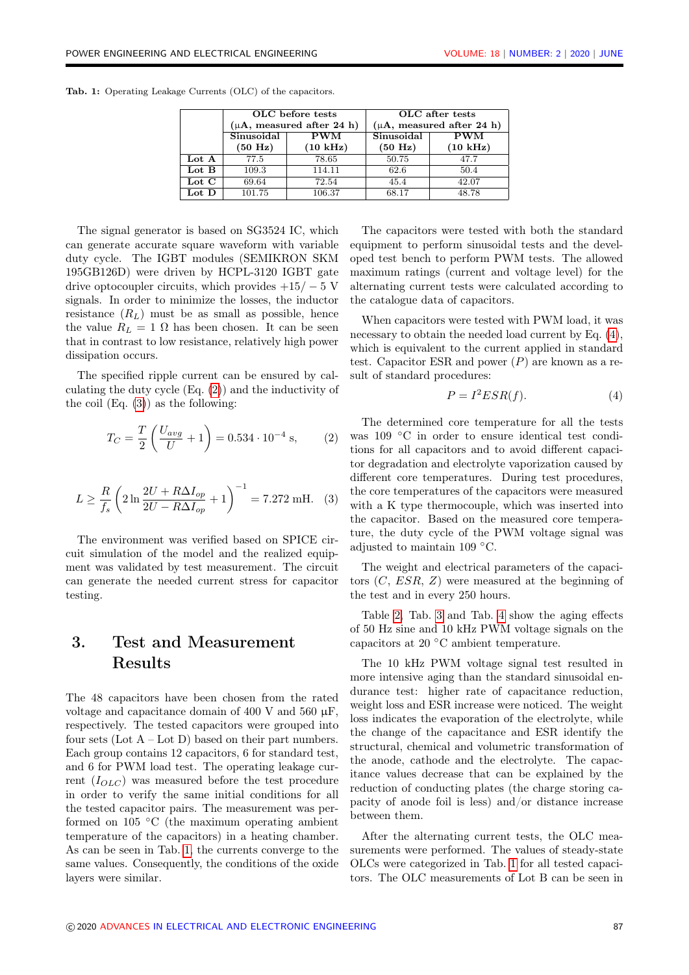|       |                   | OLC before tests               | OLC after tests                |                    |  |  |  |  |
|-------|-------------------|--------------------------------|--------------------------------|--------------------|--|--|--|--|
|       |                   | $(\mu A,$ measured after 24 h) | $(\mu A,$ measured after 24 h) |                    |  |  |  |  |
|       | Sinusoidal        | <b>PWM</b>                     | Sinusoidal                     | <b>PWM</b>         |  |  |  |  |
|       | $(50 \text{ Hz})$ | $(10 \text{ kHz})$             | (50 Hz)                        | $(10 \text{ kHz})$ |  |  |  |  |
| Lot A | 77.5              | 78.65                          | 50.75                          | 47.7               |  |  |  |  |
| Lot B | 109.3             | 114.11                         | 62.6                           | 50.4               |  |  |  |  |
| Lot C | 69.64             | 72.54                          | 45.4                           | 42.07              |  |  |  |  |
| Lot D | 101.75<br>106.37  |                                | 68.17                          | 48.78              |  |  |  |  |
|       |                   |                                |                                |                    |  |  |  |  |

<span id="page-2-2"></span>Tab. 1: Operating Leakage Currents (OLC) of the capacitors.

The signal generator is based on SG3524 IC, which can generate accurate square waveform with variable duty cycle. The IGBT modules (SEMIKRON SKM 195GB126D) were driven by HCPL-3120 IGBT gate drive optocoupler circuits, which provides  $+15/-5$  V signals. In order to minimize the losses, the inductor resistance  $(R_L)$  must be as small as possible, hence the value  $R_L = 1 \Omega$  has been chosen. It can be seen that in contrast to low resistance, relatively high power dissipation occurs.

The specified ripple current can be ensured by calculating the duty cycle (Eq. [\(2\)](#page-2-0)) and the inductivity of the coil  $(Eq. (3))$  $(Eq. (3))$  $(Eq. (3))$  as the following:

$$
T_C = \frac{T}{2} \left( \frac{U_{avg}}{U} + 1 \right) = 0.534 \cdot 10^{-4} \text{ s}, \quad (2)
$$

<span id="page-2-1"></span>
$$
L \ge \frac{R}{f_s} \left( 2 \ln \frac{2U + R\Delta I_{op}}{2U - R\Delta I_{op}} + 1 \right)^{-1} = 7.272 \text{ mH.}
$$
 (3)

The environment was verified based on SPICE circuit simulation of the model and the realized equipment was validated by test measurement. The circuit can generate the needed current stress for capacitor testing.

## 3. Test and Measurement Results

The 48 capacitors have been chosen from the rated voltage and capacitance domain of 400 V and 560  $\mu$ F, respectively. The tested capacitors were grouped into four sets  $(Lot A - Lot D)$  based on their part numbers. Each group contains 12 capacitors, 6 for standard test, and 6 for PWM load test. The operating leakage current  $(I_{OLC})$  was measured before the test procedure in order to verify the same initial conditions for all the tested capacitor pairs. The measurement was performed on 105 ◦C (the maximum operating ambient temperature of the capacitors) in a heating chamber. As can be seen in Tab. [1,](#page-2-2) the currents converge to the same values. Consequently, the conditions of the oxide layers were similar.

The capacitors were tested with both the standard equipment to perform sinusoidal tests and the developed test bench to perform PWM tests. The allowed maximum ratings (current and voltage level) for the alternating current tests were calculated according to the catalogue data of capacitors.

When capacitors were tested with PWM load, it was necessary to obtain the needed load current by Eq.  $(4)$ , which is equivalent to the current applied in standard test. Capacitor ESR and power  $(P)$  are known as a result of standard procedures:

<span id="page-2-3"></span>
$$
P = I^2ESR(f). \tag{4}
$$

<span id="page-2-0"></span>The determined core temperature for all the tests was 109 ◦C in order to ensure identical test conditions for all capacitors and to avoid different capacitor degradation and electrolyte vaporization caused by different core temperatures. During test procedures, the core temperatures of the capacitors were measured with a K type thermocouple, which was inserted into the capacitor. Based on the measured core temperature, the duty cycle of the PWM voltage signal was adjusted to maintain 109 ◦C.

The weight and electrical parameters of the capacitors  $(C, ESR, Z)$  were measured at the beginning of the test and in every 250 hours.

Table [2,](#page-3-0) Tab. [3](#page-3-1) and Tab. [4](#page-3-2) show the aging effects of 50 Hz sine and 10 kHz PWM voltage signals on the capacitors at 20 ◦C ambient temperature.

The 10 kHz PWM voltage signal test resulted in more intensive aging than the standard sinusoidal endurance test: higher rate of capacitance reduction, weight loss and ESR increase were noticed. The weight loss indicates the evaporation of the electrolyte, while the change of the capacitance and ESR identify the structural, chemical and volumetric transformation of the anode, cathode and the electrolyte. The capacitance values decrease that can be explained by the reduction of conducting plates (the charge storing capacity of anode foil is less) and/or distance increase between them.

After the alternating current tests, the OLC measurements were performed. The values of steady-state OLCs were categorized in Tab. [1](#page-2-2) for all tested capacitors. The OLC measurements of Lot B can be seen in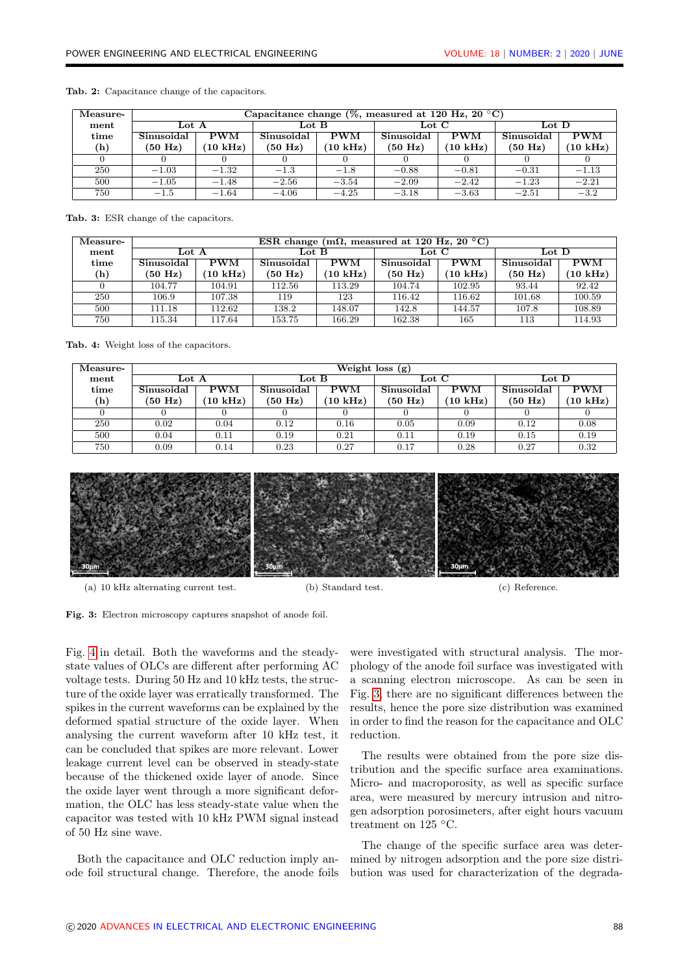| Measure- | Capacitance change (%, measured at 120 Hz, 20 $\mathrm{^{\circ}C}$ ) |                    |                   |                    |                         |                    |                         |                    |
|----------|----------------------------------------------------------------------|--------------------|-------------------|--------------------|-------------------------|--------------------|-------------------------|--------------------|
| ment     | Lot A                                                                |                    | Lot $B$           |                    | $_{\rm Lot}$ $_{\rm C}$ |                    | $_{\rm Lot}$ $_{\rm D}$ |                    |
| time     | Sinusoidal                                                           | <b>PWM</b>         | Sinusoidal        | <b>PWM</b>         | Sinusoidal              | <b>PWM</b>         | Sinusoidal              | <b>PWM</b>         |
| (h)      | $(50 \text{ Hz})$                                                    | $(10 \text{ kHz})$ | $(50 \text{ Hz})$ | $(10 \text{ kHz})$ | $(50 \text{ Hz})$       | $(10 \text{ kHz})$ | $(50 \text{ Hz})$       | $(10 \text{ kHz})$ |
|          |                                                                      |                    |                   |                    |                         |                    |                         |                    |
| 250      | $-1.03$                                                              | $-1.32$            | $-1.3$            | $-1.8$             | $-0.88$                 | $-0.81$            | $-0.31$                 | $-1.13$            |
| 500      | $-1.05$                                                              | $-1.48$            | $-2.56$           | $-3.54$            | $-2.09$                 | $-2.42$            | $-1.23$                 | $-2.21$            |
| 750      | $-1.5$                                                               | $-1.64$            | $-4.06$           | $-4.25$            | $-3.18$                 | $-3.63$            | $-2.51$                 | $-3.2$             |

<span id="page-3-0"></span>Tab. 2: Capacitance change of the capacitors.

<span id="page-3-1"></span>Tab. 3: ESR change of the capacitors.

| Measure-        | ESR change (m $\Omega$ , measured at 120 Hz, 20 °C) |                    |                         |                    |                         |                    |                         |                    |
|-----------------|-----------------------------------------------------|--------------------|-------------------------|--------------------|-------------------------|--------------------|-------------------------|--------------------|
| $\mathbf{ment}$ | $_{\rm Lot}$ $_{\rm A}$                             |                    | $_{\rm Lot}$ $_{\rm B}$ |                    | $_{\rm Lot}$ $_{\rm C}$ |                    | $_{\rm Lot}$ $_{\rm D}$ |                    |
| time            | Sinusoidal                                          | <b>PWM</b>         | Sinusoidal              | <b>PWM</b>         | Sinusoidal              | <b>PWM</b>         | Sinusoidal              | <b>PWM</b>         |
| (h)             | $(50 \text{ Hz})$                                   | $(10 \text{ kHz})$ | $(50 \text{ Hz})$       | $(10 \text{ kHz})$ | $(50 \text{ Hz})$       | $(10 \text{ kHz})$ | $(50 \text{ Hz})$       | $(10 \text{ kHz})$ |
|                 | 104.77                                              | 104.91             | 112.56                  | 113.29             | 104.74                  | 102.95             | 93.44                   | 92.42              |
| 250             | 106.9                                               | 107.38             | 119                     | 123                | 116.42                  | 116.62             | 101.68                  | 100.59             |
| 500             | 111.18                                              | 112.62             | 138.2                   | 148.07             | 142.8                   | 144.57             | 107.8                   | 108.89             |
| 750             | 115.34                                              | 117.64             | 153.75                  | 166.29             | 162.38                  | 165                | 113                     | 114.93             |

<span id="page-3-2"></span>Tab. 4: Weight loss of the capacitors.

| Measure- | Weight loss $(g)$ |                    |                         |                    |                         |                    |                         |                    |  |
|----------|-------------------|--------------------|-------------------------|--------------------|-------------------------|--------------------|-------------------------|--------------------|--|
| ment     | Lot A             |                    | $_{\rm Lot}$ $_{\rm B}$ |                    | $_{\rm Lot}$ $_{\rm C}$ |                    | $_{\rm Lot}$ $_{\rm D}$ |                    |  |
| time     | Sinusoidal        | <b>PWM</b>         | Sinusoidal              | $_{\rm PWM}$       | Sinusoidal              | <b>PWM</b>         | Sinusoidal              | <b>PWM</b>         |  |
| (h)      | $(50 \text{ Hz})$ | $(10 \text{ kHz})$ | $(50 \text{ Hz})$       | $(10 \text{ kHz})$ | $(50 \text{ Hz})$       | $(10 \text{ kHz})$ | $(50 \text{ Hz})$       | $(10 \text{ kHz})$ |  |
|          |                   |                    |                         |                    |                         |                    |                         |                    |  |
| 250      | 0.02              | 0.04               | 0.12                    | 0.16               | 0.05                    | 0.09               | 0.12                    | 0.08               |  |
| 500      | 0.04              | 0.11               | 0.19                    | 0.21               | 0.11                    | 0.19               | 0.15                    | 0.19               |  |
| 750      | 0.09              | 0.14               | 0.23                    | 0.27               | 0.17                    | 0.28               | 0.27                    | 0.32               |  |

<span id="page-3-3"></span>

(a) 10 kHz alternating current test. (b) Standard test. (c) Reference.

Fig. 3: Electron microscopy captures snapshot of anode foil.

Fig. [4](#page-4-1) in detail. Both the waveforms and the steadystate values of OLCs are different after performing AC voltage tests. During 50 Hz and 10 kHz tests, the structure of the oxide layer was erratically transformed. The spikes in the current waveforms can be explained by the deformed spatial structure of the oxide layer. When analysing the current waveform after 10 kHz test, it can be concluded that spikes are more relevant. Lower leakage current level can be observed in steady-state because of the thickened oxide layer of anode. Since the oxide layer went through a more significant deformation, the OLC has less steady-state value when the capacitor was tested with 10 kHz PWM signal instead of 50 Hz sine wave.

Both the capacitance and OLC reduction imply anode foil structural change. Therefore, the anode foils were investigated with structural analysis. The morphology of the anode foil surface was investigated with a scanning electron microscope. As can be seen in Fig. [3,](#page-3-3) there are no significant differences between the results, hence the pore size distribution was examined in order to find the reason for the capacitance and OLC reduction.

The results were obtained from the pore size distribution and the specific surface area examinations. Micro- and macroporosity, as well as specific surface area, were measured by mercury intrusion and nitrogen adsorption porosimeters, after eight hours vacuum treatment on 125 ◦C.

The change of the specific surface area was determined by nitrogen adsorption and the pore size distribution was used for characterization of the degrada-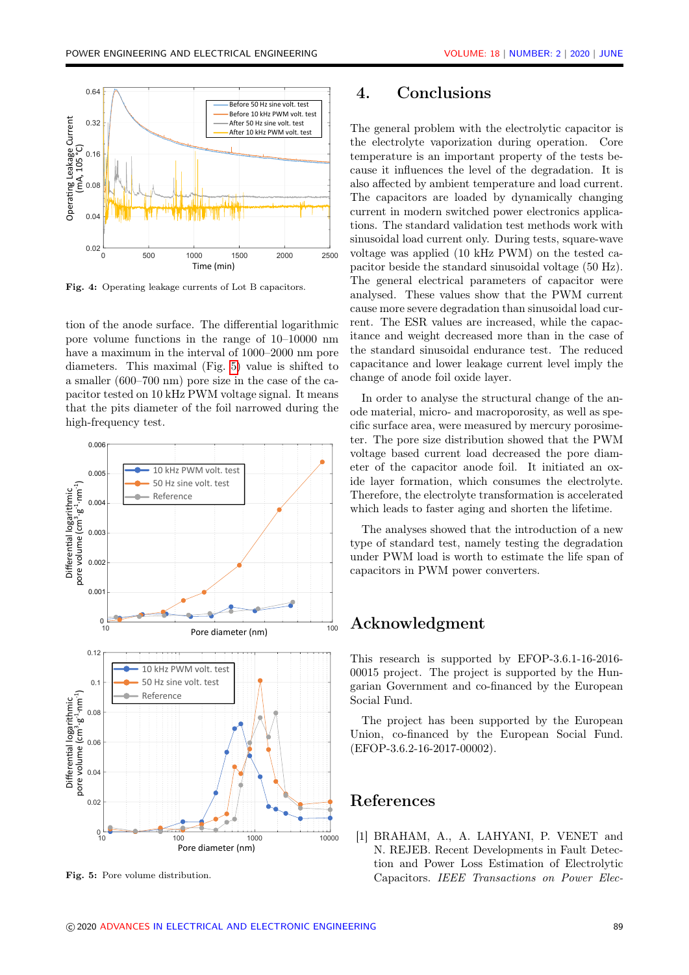<span id="page-4-1"></span>

Fig. 4: Operating leakage currents of Lot B capacitors.

tion of the anode surface. The differential logarithmic pore volume functions in the range of 10–10000 nm have a maximum in the interval of 1000–2000 nm pore diameters. This maximal (Fig. [5\)](#page-4-2) value is shifted to a smaller (600–700 nm) pore size in the case of the capacitor tested on 10 kHz PWM voltage signal. It means that the pits diameter of the foil narrowed during the high-frequency test.

<span id="page-4-2"></span>

Fig. 5: Pore volume distribution.

### 4. Conclusions

The general problem with the electrolytic capacitor is the electrolyte vaporization during operation. Core temperature is an important property of the tests because it influences the level of the degradation. It is also affected by ambient temperature and load current. The capacitors are loaded by dynamically changing current in modern switched power electronics applications. The standard validation test methods work with sinusoidal load current only. During tests, square-wave voltage was applied (10 kHz PWM) on the tested capacitor beside the standard sinusoidal voltage (50 Hz). The general electrical parameters of capacitor were analysed. These values show that the PWM current cause more severe degradation than sinusoidal load current. The ESR values are increased, while the capacitance and weight decreased more than in the case of the standard sinusoidal endurance test. The reduced capacitance and lower leakage current level imply the change of anode foil oxide layer.

In order to analyse the structural change of the anode material, micro- and macroporosity, as well as specific surface area, were measured by mercury porosimeter. The pore size distribution showed that the PWM voltage based current load decreased the pore diameter of the capacitor anode foil. It initiated an oxide layer formation, which consumes the electrolyte. Therefore, the electrolyte transformation is accelerated which leads to faster aging and shorten the lifetime.

The analyses showed that the introduction of a new type of standard test, namely testing the degradation under PWM load is worth to estimate the life span of capacitors in PWM power converters.

### Acknowledgment

This research is supported by EFOP-3.6.1-16-2016- 00015 project. The project is supported by the Hungarian Government and co-financed by the European Social Fund.

The project has been supported by the European Union, co-financed by the European Social Fund. (EFOP-3.6.2-16-2017-00002).

### References

<span id="page-4-0"></span>[1] BRAHAM, A., A. LAHYANI, P. VENET and N. REJEB. Recent Developments in Fault Detection and Power Loss Estimation of Electrolytic Capacitors. IEEE Transactions on Power Elec-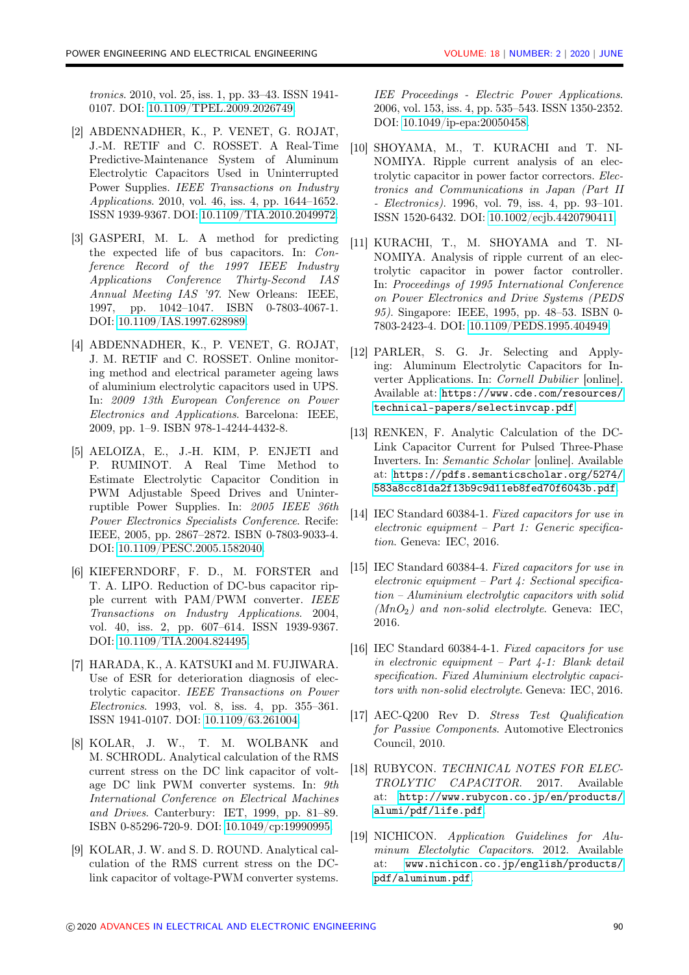tronics. 2010, vol. 25, iss. 1, pp. 33–43. ISSN 1941- 0107. DOI: [10.1109/TPEL.2009.2026749.](https://doi.org/10.1109/TPEL.2009.2026749)

- <span id="page-5-0"></span>[2] ABDENNADHER, K., P. VENET, G. ROJAT, J.-M. RETIF and C. ROSSET. A Real-Time Predictive-Maintenance System of Aluminum Electrolytic Capacitors Used in Uninterrupted Power Supplies. IEEE Transactions on Industry Applications. 2010, vol. 46, iss. 4, pp. 1644–1652. ISSN 1939-9367. DOI: [10.1109/TIA.2010.2049972.](https://doi.org/10.1109/TIA.2010.2049972)
- <span id="page-5-1"></span>[3] GASPERI, M. L. A method for predicting the expected life of bus capacitors. In: Conference Record of the 1997 IEEE Industry Applications Conference Thirty-Second IAS Annual Meeting IAS '97. New Orleans: IEEE, 1997, pp. 1042–1047. ISBN 0-7803-4067-1. DOI: [10.1109/IAS.1997.628989.](https://doi.org/10.1109/IAS.1997.628989)
- <span id="page-5-2"></span>[4] ABDENNADHER, K., P. VENET, G. ROJAT, J. M. RETIF and C. ROSSET. Online monitoring method and electrical parameter ageing laws of aluminium electrolytic capacitors used in UPS. In: 2009 13th European Conference on Power Electronics and Applications. Barcelona: IEEE, 2009, pp. 1–9. ISBN 978-1-4244-4432-8.
- <span id="page-5-3"></span>[5] AELOIZA, E., J.-H. KIM, P. ENJETI and P. RUMINOT. A Real Time Method to Estimate Electrolytic Capacitor Condition in PWM Adjustable Speed Drives and Uninterruptible Power Supplies. In: 2005 IEEE 36th Power Electronics Specialists Conference. Recife: IEEE, 2005, pp. 2867–2872. ISBN 0-7803-9033-4. DOI: [10.1109/PESC.2005.1582040.](https://doi.org/10.1109/PESC.2005.1582040)
- <span id="page-5-4"></span>[6] KIEFERNDORF, F. D., M. FORSTER and T. A. LIPO. Reduction of DC-bus capacitor ripple current with PAM/PWM converter. IEEE Transactions on Industry Applications. 2004, vol. 40, iss. 2, pp. 607–614. ISSN 1939-9367. DOI: [10.1109/TIA.2004.824495.](https://doi.org/10.1109/TIA.2004.824495)
- <span id="page-5-5"></span>[7] HARADA, K., A. KATSUKI and M. FUJIWARA. Use of ESR for deterioration diagnosis of electrolytic capacitor. IEEE Transactions on Power Electronics. 1993, vol. 8, iss. 4, pp. 355–361. ISSN 1941-0107. DOI: [10.1109/63.261004.](https://doi.org/10.1109/63.261004)
- <span id="page-5-6"></span>[8] KOLAR, J. W., T. M. WOLBANK and M. SCHRODL. Analytical calculation of the RMS current stress on the DC link capacitor of voltage DC link PWM converter systems. In: 9th International Conference on Electrical Machines and Drives. Canterbury: IET, 1999, pp. 81–89. ISBN 0-85296-720-9. DOI: [10.1049/cp:19990995.](https://doi.org/10.1049/cp:19990995)
- <span id="page-5-10"></span>[9] KOLAR, J. W. and S. D. ROUND. Analytical calculation of the RMS current stress on the DClink capacitor of voltage-PWM converter systems.

IEE Proceedings - Electric Power Applications. 2006, vol. 153, iss. 4, pp. 535–543. ISSN 1350-2352. DOI: [10.1049/ip-epa:20050458.](https://doi.org/10.1049/ip-epa:20050458)

- <span id="page-5-11"></span>[10] SHOYAMA, M., T. KURACHI and T. NI-NOMIYA. Ripple current analysis of an electrolytic capacitor in power factor correctors. Electronics and Communications in Japan (Part II - Electronics). 1996, vol. 79, iss. 4, pp. 93–101. ISSN 1520-6432. DOI: [10.1002/ecjb.4420790411.](https://doi.org/10.1002/ecjb.4420790411)
- <span id="page-5-12"></span>[11] KURACHI, T., M. SHOYAMA and T. NI-NOMIYA. Analysis of ripple current of an electrolytic capacitor in power factor controller. In: Proceedings of 1995 International Conference on Power Electronics and Drive Systems (PEDS 95). Singapore: IEEE, 1995, pp. 48–53. ISBN 0- 7803-2423-4. DOI: [10.1109/PEDS.1995.404949.](https://doi.org/10.1109/PEDS.1995.404949)
- <span id="page-5-13"></span>[12] PARLER, S. G. Jr. Selecting and Applying: Aluminum Electrolytic Capacitors for Inverter Applications. In: Cornell Dubilier [online]. Available at: [https://www.cde.com/resources/](https://www.cde.com/resources/technical-papers/selectinvcap.pdf) [technical-papers/selectinvcap.pdf](https://www.cde.com/resources/technical-papers/selectinvcap.pdf).
- <span id="page-5-14"></span>[13] RENKEN, F. Analytic Calculation of the DC-Link Capacitor Current for Pulsed Three-Phase Inverters. In: Semantic Scholar [online]. Available at: [https://pdfs.semanticscholar.org/5274/](https://pdfs.semanticscholar.org/5274/583a8cc81da2f13b9c9d11eb8fed70f6043b.pdf) [583a8cc81da2f13b9c9d11eb8fed70f6043b.pdf](https://pdfs.semanticscholar.org/5274/583a8cc81da2f13b9c9d11eb8fed70f6043b.pdf).
- <span id="page-5-7"></span>[14] IEC Standard 60384-1. Fixed capacitors for use in electronic equipment – Part 1: Generic specification. Geneva: IEC, 2016.
- <span id="page-5-8"></span>[15] IEC Standard 60384-4. Fixed capacitors for use in electronic equipment – Part 4: Sectional specification – Aluminium electrolytic capacitors with solid  $(MnO<sub>2</sub>)$  and non-solid electrolyte. Geneva: IEC, 2016.
- <span id="page-5-9"></span>[16] IEC Standard 60384-4-1. Fixed capacitors for use in electronic equipment – Part  $4-1$ : Blank detail specification. Fixed Aluminium electrolytic capacitors with non-solid electrolyte. Geneva: IEC, 2016.
- <span id="page-5-15"></span>[17] AEC-Q200 Rev D. Stress Test Qualification for Passive Components. Automotive Electronics Council, 2010.
- <span id="page-5-16"></span>[18] RUBYCON. TECHNICAL NOTES FOR ELEC-TROLYTIC CAPACITOR. 2017. Available at: [http://www.rubycon.co.jp/en/products/](http://www.rubycon.co.jp/en/products/alumi/pdf/life.pdf) [alumi/pdf/life.pdf](http://www.rubycon.co.jp/en/products/alumi/pdf/life.pdf).
- <span id="page-5-17"></span>[19] NICHICON. Application Guidelines for Aluminum Electolytic Capacitors. 2012. Available at: [www.nichicon.co.jp/english/products/](www.nichicon.co.jp/english/products/pdf/aluminum.pdf) [pdf/aluminum.pdf](www.nichicon.co.jp/english/products/pdf/aluminum.pdf).